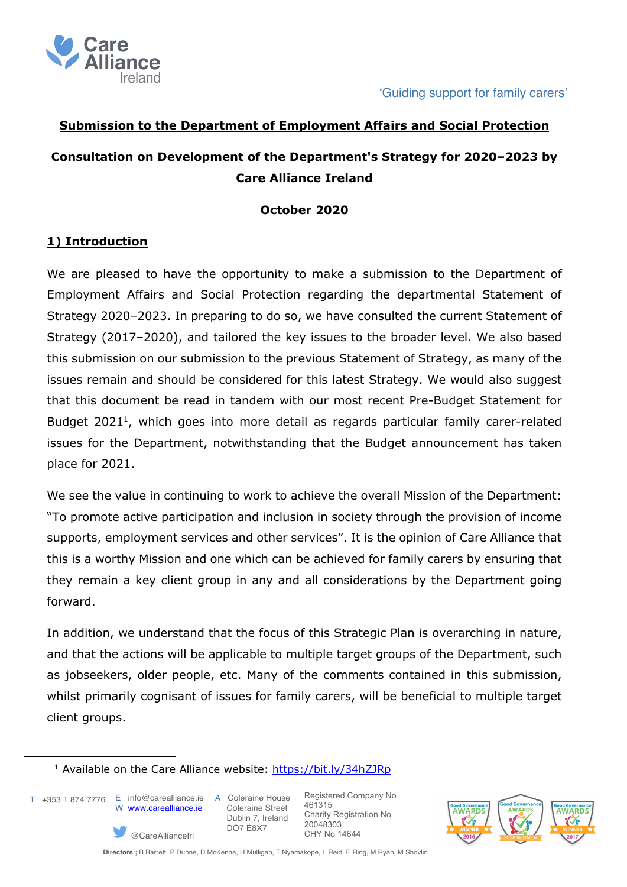



## **Submission to the Department of Employment Affairs and Social Protection**

# **Consultation on Development of the Department's Strategy for 2020–2023 by Care Alliance Ireland**

#### **October 2020**

## **1) Introduction**

We are pleased to have the opportunity to make a submission to the Department of Employment Affairs and Social Protection regarding the departmental Statement of Strategy 2020–2023. In preparing to do so, we have consulted the current Statement of Strategy (2017–2020), and tailored the key issues to the broader level. We also based this submission on our submission to the previous Statement of Strategy, as many of the issues remain and should be considered for this latest Strategy. We would also suggest that this document be read in tandem with our most recent Pre-Budget Statement for Budget  $2021<sup>1</sup>$ , which goes into more detail as regards particular family carer-related issues for the Department, notwithstanding that the Budget announcement has taken place for 2021.

We see the value in continuing to work to achieve the overall Mission of the Department: "To promote active participation and inclusion in society through the provision of income supports, employment services and other services". It is the opinion of Care Alliance that this is a worthy Mission and one which can be achieved for family carers by ensuring that they remain a key client group in any and all considerations by the Department going forward.

In addition, we understand that the focus of this Strategic Plan is overarching in nature, and that the actions will be applicable to multiple target groups of the Department, such as jobseekers, older people, etc. Many of the comments contained in this submission, whilst primarily cognisant of issues for family carers, will be beneficial to multiple target client groups.

T +353 1 874 7776 E info@carealliance.ie A Coleraine House

W www.carealliance.ie

@CareAllianceIrl

 Coleraine Street Dublin 7, Ireland DO7 E8X7



<sup>&</sup>lt;sup>1</sup> Available on the Care Alliance website: https://bit.ly/34hZJRp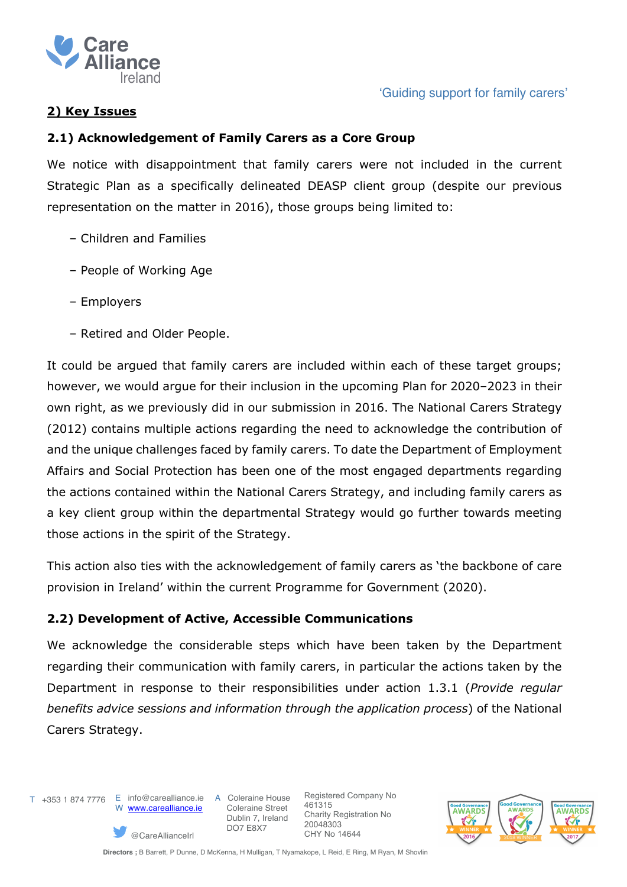

## **2) Key Issues**

#### **2.1) Acknowledgement of Family Carers as a Core Group**

We notice with disappointment that family carers were not included in the current Strategic Plan as a specifically delineated DEASP client group (despite our previous representation on the matter in 2016), those groups being limited to:

- Children and Families
- People of Working Age
- Employers
- Retired and Older People.

It could be argued that family carers are included within each of these target groups; however, we would argue for their inclusion in the upcoming Plan for 2020–2023 in their own right, as we previously did in our submission in 2016. The National Carers Strategy (2012) contains multiple actions regarding the need to acknowledge the contribution of and the unique challenges faced by family carers. To date the Department of Employment Affairs and Social Protection has been one of the most engaged departments regarding the actions contained within the National Carers Strategy, and including family carers as a key client group within the departmental Strategy would go further towards meeting those actions in the spirit of the Strategy.

This action also ties with the acknowledgement of family carers as 'the backbone of care provision in Ireland' within the current Programme for Government (2020).

## **2.2) Development of Active, Accessible Communications**

We acknowledge the considerable steps which have been taken by the Department regarding their communication with family carers, in particular the actions taken by the Department in response to their responsibilities under action 1.3.1 (*Provide regular benefits advice sessions and information through the application process*) of the National Carers Strategy.



T +353 1 874 7776 E info@carealliance.ie A Coleraine House W www.carealliance.ie

@CareAllianceIrl

 Coleraine Street Dublin 7, Ireland DO7 E8X7

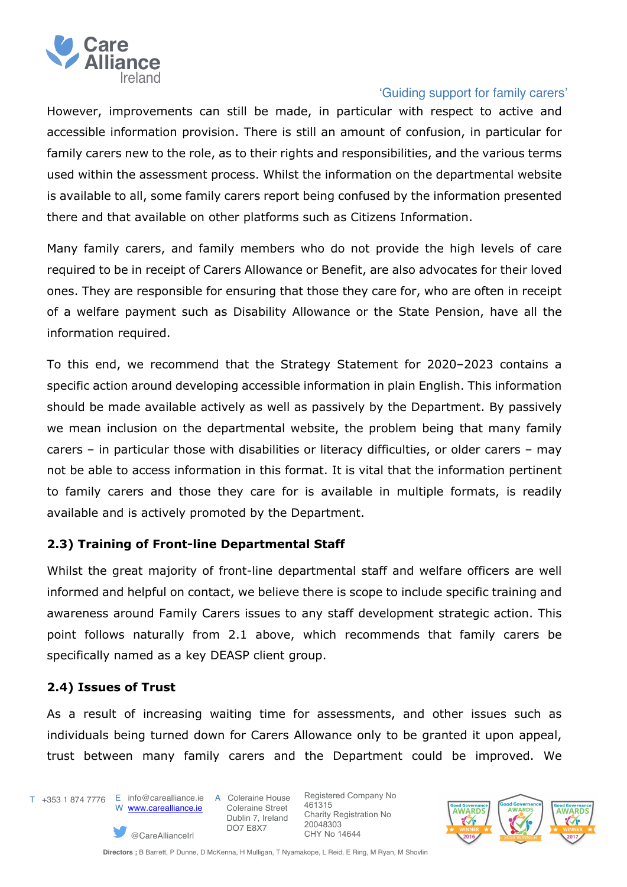

However, improvements can still be made, in particular with respect to active and accessible information provision. There is still an amount of confusion, in particular for family carers new to the role, as to their rights and responsibilities, and the various terms used within the assessment process. Whilst the information on the departmental website is available to all, some family carers report being confused by the information presented there and that available on other platforms such as Citizens Information.

Many family carers, and family members who do not provide the high levels of care required to be in receipt of Carers Allowance or Benefit, are also advocates for their loved ones. They are responsible for ensuring that those they care for, who are often in receipt of a welfare payment such as Disability Allowance or the State Pension, have all the information required.

To this end, we recommend that the Strategy Statement for 2020–2023 contains a specific action around developing accessible information in plain English. This information should be made available actively as well as passively by the Department. By passively we mean inclusion on the departmental website, the problem being that many family carers – in particular those with disabilities or literacy difficulties, or older carers – may not be able to access information in this format. It is vital that the information pertinent to family carers and those they care for is available in multiple formats, is readily available and is actively promoted by the Department.

## **2.3) Training of Front-line Departmental Staff**

Whilst the great majority of front-line departmental staff and welfare officers are well informed and helpful on contact, we believe there is scope to include specific training and awareness around Family Carers issues to any staff development strategic action. This point follows naturally from 2.1 above, which recommends that family carers be specifically named as a key DEASP client group.

## **2.4) Issues of Trust**

As a result of increasing waiting time for assessments, and other issues such as individuals being turned down for Carers Allowance only to be granted it upon appeal, trust between many family carers and the Department could be improved. We

T +353 1 874 7776 E info@carealliance.ie A Coleraine House W www.carealliance.ie

@CareAllianceIrl

 Coleraine Street Dublin 7, Ireland DO7 E8X7

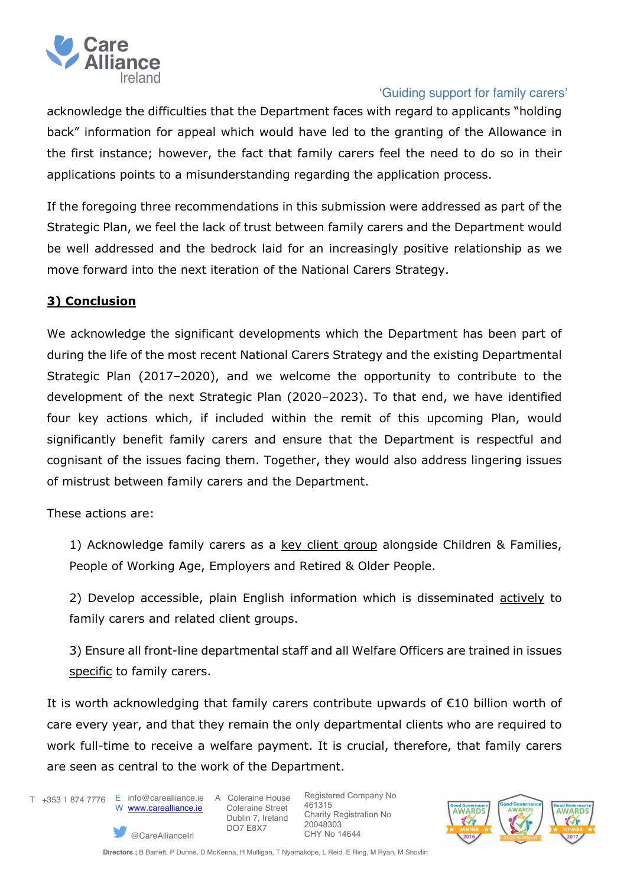

acknowledge the difficulties that the Department faces with regard to applicants "holding back" information for appeal which would have led to the granting of the Allowance in the first instance; however, the fact that family carers feel the need to do so in their applications points to a misunderstanding regarding the application process.

If the foregoing three recommendations in this submission were addressed as part of the Strategic Plan, we feel the lack of trust between family carers and the Department would be well addressed and the bedrock laid for an increasingly positive relationship as we move forward into the next iteration of the National Carers Strategy.

# **3) Conclusion**

We acknowledge the significant developments which the Department has been part of during the life of the most recent National Carers Strategy and the existing Departmental Strategic Plan (2017–2020), and we welcome the opportunity to contribute to the development of the next Strategic Plan (2020–2023). To that end, we have identified four key actions which, if included within the remit of this upcoming Plan, would significantly benefit family carers and ensure that the Department is respectful and cognisant of the issues facing them. Together, they would also address lingering issues of mistrust between family carers and the Department.

These actions are:

1) Acknowledge family carers as a key client group alongside Children & Families, People of Working Age, Employers and Retired & Older People.

2) Develop accessible, plain English information which is disseminated actively to family carers and related client groups.

3) Ensure all front-line departmental staff and all Welfare Officers are trained in issues specific to family carers.

It is worth acknowledging that family carers contribute upwards of €10 billion worth of care every year, and that they remain the only departmental clients who are required to work full-time to receive a welfare payment. It is crucial, therefore, that family carers are seen as central to the work of the Department.

T +353 1 874 7776 E info@carealliance.ie A Coleraine House

W www.carealliance.ie

@CareAllianceIrl

 Coleraine Street Dublin 7, Ireland DO7 E8X7